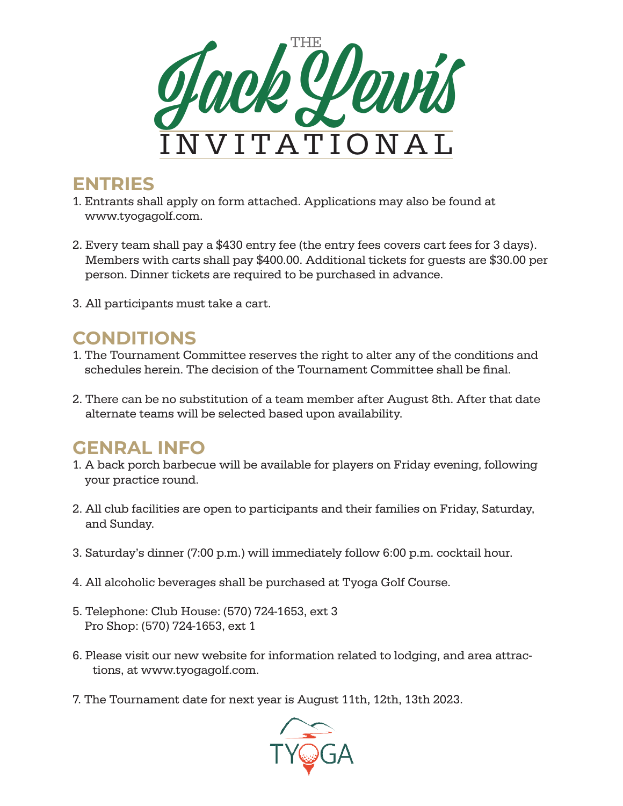

## **ENTRIES**

- 1. Entrants shall apply on form attached. Applications may also be found at www.tyogagolf.com.
- 2. Every team shall pay a \$430 entry fee (the entry fees covers cart fees for 3 days). Members with carts shall pay \$400.00. Additional tickets for guests are \$30.00 per person. Dinner tickets are required to be purchased in advance.
- 3. All participants must take a cart.

# **CONDITIONS**

- 1. The Tournament Committee reserves the right to alter any of the conditions and schedules herein. The decision of the Tournament Committee shall be final.
- 2. There can be no substitution of a team member after August 8th. After that date alternate teams will be selected based upon availability.

# **GENRAL INFO**

- 1. A back porch barbecue will be available for players on Friday evening, following your practice round.
- 2. All club facilities are open to participants and their families on Friday, Saturday, and Sunday.
- 3. Saturday's dinner (7:00 p.m.) will immediately follow 6:00 p.m. cocktail hour.
- 4. All alcoholic beverages shall be purchased at Tyoga Golf Course.
- 5. Telephone: Club House: (570) 724-1653, ext 3 Pro Shop: (570) 724-1653, ext 1
- 6. Please visit our new website for information related to lodging, and area attractions, at www.tyogagolf.com.
- 7. The Tournament date for next year is August 11th, 12th, 13th 2023.